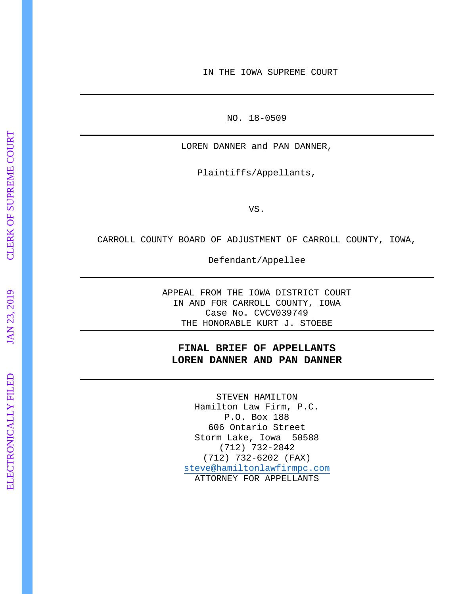IN THE IOWA SUPREME COURT

NO. 18 -0509

LOREN DANNER and PAN DANNER,

Plaintiffs/Appellants,

VS.

CARROLL COUNTY BOARD OF ADJUSTMENT OF CARROLL COUNTY, IOWA,

Defendant/Appellee

APPEAL FROM THE IOWA DISTRICT COURT IN AND FOR CARROLL COUNTY, IOWA Case No. CVCV039749 THE HONORABLE KURT J. STOEBE

## **FINAL BRIEF OF APPELLANTS LOREN DANNER AND PAN DANNER**

STEVEN HAMILTON Hamilton Law Firm, P.C. P.O. Box 188 606 Ontario Street Storm Lake, Iowa 50588 (712) 732 -2842 (712) 732 -6202 (FAX) [steve@hamiltonlawfirmpc.com](mailto:steve@hamiltonlawfirmpc.com) ATTORNEY FOR APPELLANTS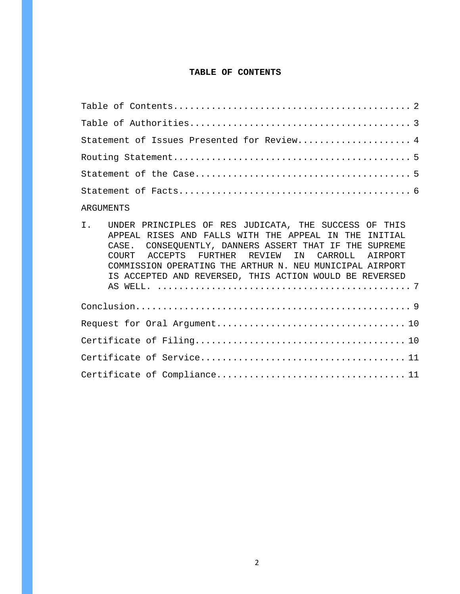#### **TABLE OF CONTENTS**

| Statement of Issues Presented for Review 4 |
|--------------------------------------------|
|                                            |
|                                            |
|                                            |
| ARGUMENTS                                  |

# I. UNDER PRINCIPLES OF RES JUDICATA, THE SUCCESS OF THIS APPEAL RISES AND FALLS WITH THE APPEAL IN THE INITIAL CASE. CONSEQUENTLY, DANNERS ASSERT THAT IF THE SUPREME COURT ACCEPTS FURTHER REVIEW IN CARROLL AIRPORT COMMISSION OPERATING THE ARTHUR N. NEU MUNICIPAL AIRPORT IS ACCEPTED AND REVERSED, THIS ACTION WOULD BE REVERSED AS WELL. ............................................... 7 Conclusion................................................... 9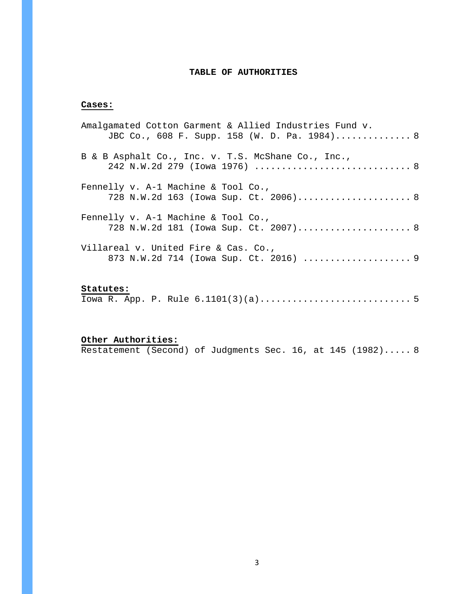## **TABLE OF AUTHORITIES**

## **Cases:**

| Amalgamated Cotton Garment & Allied Industries Fund v.<br>JBC Co., 608 F. Supp. 158 (W. D. Pa. 1984) 8 |  |
|--------------------------------------------------------------------------------------------------------|--|
| B & B Asphalt Co., Inc. v. T.S. McShane Co., Inc.,<br>242 N.W.2d 279 (Iowa 1976)  8                    |  |
| Fennelly v. A-1 Machine & Tool Co.,<br>728 N.W.2d 163 (Iowa Sup. Ct. 2006) 8                           |  |
| Fennelly $v.$ A-1 Machine & Tool Co.,<br>728 N.W.2d 181 (Iowa Sup. Ct. 2007) 8                         |  |
| Villareal v. United Fire & Cas. Co.,<br>873 N.W.2d 714 (Iowa Sup. Ct. 2016)  9                         |  |

## **Statutes:**

|--|--|--|--|--|--|--|--|

# **Other Authorities:**

Restatement (Second) of Judgments Sec. 16, at 145 (1982)..... 8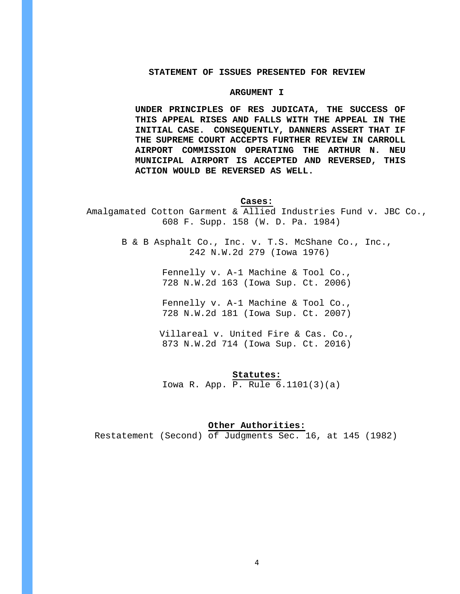## **STATEMENT OF ISSUES PRESENTED FOR REVIEW**

#### **ARGUMENT I**

**UNDER PRINCIPLES OF RES JUDICATA, THE SUCCESS OF THIS APPEAL RISES AND FALLS WITH THE APPEAL IN THE INITIAL CASE. CONSEQUENTLY, DANNERS ASSERT THAT IF THE SUPREME COURT ACCEPTS FURTHER REVIEW IN CARROLL AIRPORT COMMISSION OPERATING THE ARTHUR N. NEU MUNICIPAL AIRPORT IS ACCEPTED AND REVERSED, THIS ACTION WOULD BE REVERSED AS WELL.**

## **Cases:**

Amalgamated Cotton Garment & Allied Industries Fund v. JBC Co., 608 F. Supp. 158 (W. D. Pa. 1984)

> B & B Asphalt Co., Inc. v. T.S. McShane Co., Inc., 242 N.W.2d 279 (Iowa 1976)

> > Fennelly v. A-1 Machine & Tool Co., 728 N.W.2d 163 (Iowa Sup. Ct. 2006)

> > Fennelly v. A-1 Machine & Tool Co., 728 N.W.2d 181 (Iowa Sup. Ct. 2007)

Villareal v. United Fire & Cas. Co., 873 N.W.2d 714 (Iowa Sup. Ct. 2016)

#### **Statutes:**

Iowa R. App. P. Rule 6.1101(3)(a)

#### **Other Authorities:**

Restatement (Second) of Judgments Sec. 16, at 145 (1982)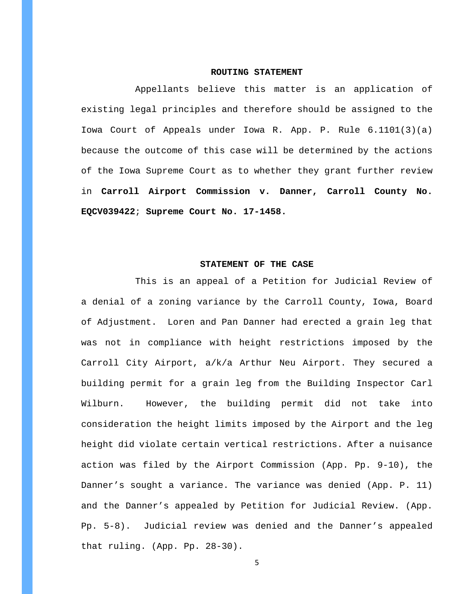#### **ROUTING STATEMENT**

Appellants believe this matter is an application of existing legal principles and therefore should be assigned to the Iowa Court of Appeals under Iowa R. App. P. Rule 6.1101(3)(a) because the outcome of this case will be determined by the actions of the Iowa Supreme Court as to whether they grant further review in **Carroll Airport Commission v. Danner, Carroll County No. EQCV039422**; **Supreme Court No. 17-1458.**

## **STATEMENT OF THE CASE**

This is an appeal of a Petition for Judicial Review of a denial of a zoning variance by the Carroll County, Iowa, Board of Adjustment. Loren and Pan Danner had erected a grain leg that was not in compliance with height restrictions imposed by the Carroll City Airport, a/k/a Arthur Neu Airport. They secured a building permit for a grain leg from the Building Inspector Carl Wilburn. However, the building permit did not take into consideration the height limits imposed by the Airport and the leg height did violate certain vertical restrictions. After a nuisance action was filed by the Airport Commission (App. Pp. 9-10), the Danner's sought a variance. The variance was denied (App. P. 11) and the Danner's appealed by Petition for Judicial Review. (App. Pp. 5-8). Judicial review was denied and the Danner's appealed that ruling. (App. Pp. 28-30).

5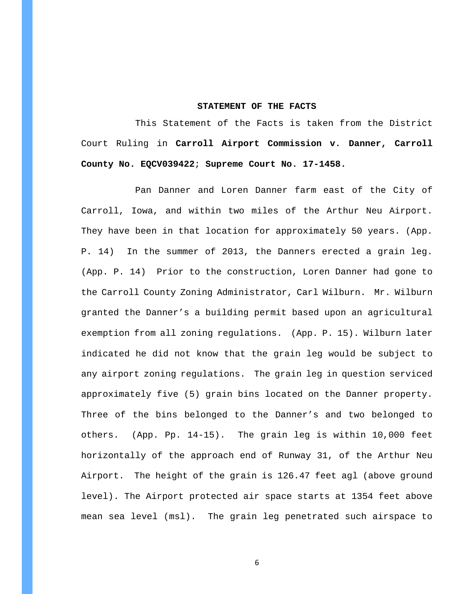#### **STATEMENT OF THE FACTS**

This Statement of the Facts is taken from the District Court Ruling in **Carroll Airport Commission v. Danner, Carroll County No. EQCV039422**; **Supreme Court No. 17-1458.**

 Pan Danner and Loren Danner farm east of the City of Carroll, Iowa, and within two miles of the Arthur Neu Airport. They have been in that location for approximately 50 years. (App. P. 14) In the summer of 2013, the Danners erected a grain leg. (App. P. 14) Prior to the construction, Loren Danner had gone to the Carroll County Zoning Administrator, Carl Wilburn. Mr. Wilburn granted the Danner's a building permit based upon an agricultural exemption from all zoning regulations. (App. P. 15). Wilburn later indicated he did not know that the grain leg would be subject to any airport zoning regulations. The grain leg in question serviced approximately five (5) grain bins located on the Danner property. Three of the bins belonged to the Danner's and two belonged to others. (App. Pp. 14-15). The grain leg is within 10,000 feet horizontally of the approach end of Runway 31, of the Arthur Neu Airport. The height of the grain is 126.47 feet agl (above ground level). The Airport protected air space starts at 1354 feet above mean sea level (msl). The grain leg penetrated such airspace to

6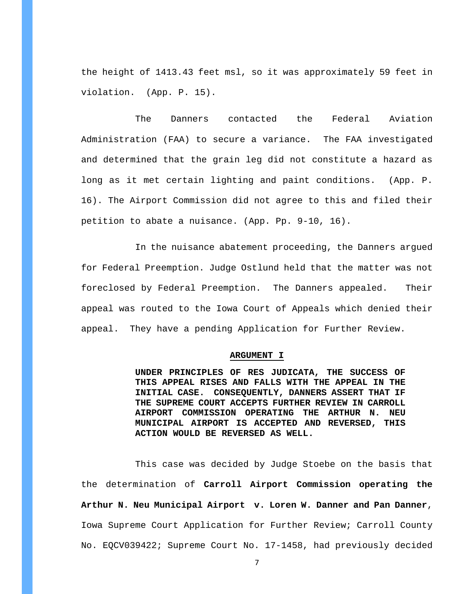the height of 1413.43 feet msl, so it was approximately 59 feet in violation. (App. P. 15).

The Danners contacted the Federal Aviation Administration (FAA) to secure a variance. The FAA investigated and determined that the grain leg did not constitute a hazard as long as it met certain lighting and paint conditions. (App. P. 16). The Airport Commission did not agree to this and filed their petition to abate a nuisance. (App. Pp. 9-10, 16).

In the nuisance abatement proceeding, the Danners argued for Federal Preemption. Judge Ostlund held that the matter was not foreclosed by Federal Preemption. The Danners appealed. Their appeal was routed to the Iowa Court of Appeals which denied their appeal. They have a pending Application for Further Review.

### **ARGUMENT I**

**UNDER PRINCIPLES OF RES JUDICATA, THE SUCCESS OF THIS APPEAL RISES AND FALLS WITH THE APPEAL IN THE INITIAL CASE. CONSEQUENTLY, DANNERS ASSERT THAT IF THE SUPREME COURT ACCEPTS FURTHER REVIEW IN CARROLL AIRPORT COMMISSION OPERATING THE ARTHUR N. NEU MUNICIPAL AIRPORT IS ACCEPTED AND REVERSED, THIS ACTION WOULD BE REVERSED AS WELL.**

This case was decided by Judge Stoebe on the basis that the determination of **Carroll Airport Commission operating the Arthur N. Neu Municipal Airport v. Loren W. Danner and Pan Danner**, Iowa Supreme Court Application for Further Review; Carroll County No. EQCV039422; Supreme Court No. 17-1458, had previously decided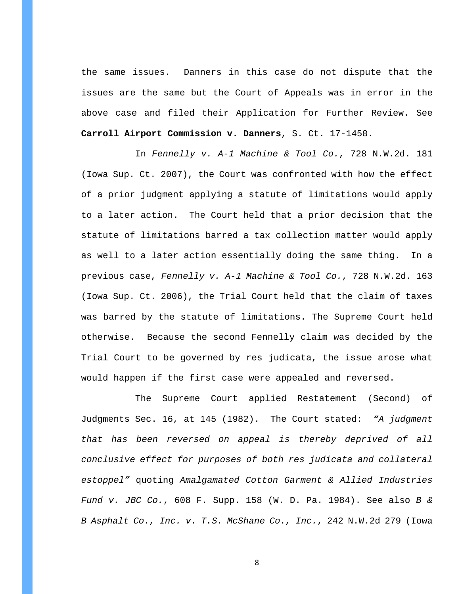the same issues. Danners in this case do not dispute that the issues are the same but the Court of Appeals was in error in the above case and filed their Application for Further Review. See **Carroll Airport Commission v. Danners**, S. Ct. 17-1458.

In *Fennelly v. A-1 Machine & Tool Co.*, 728 N.W.2d. 181 (Iowa Sup. Ct. 2007), the Court was confronted with how the effect of a prior judgment applying a statute of limitations would apply to a later action. The Court held that a prior decision that the statute of limitations barred a tax collection matter would apply as well to a later action essentially doing the same thing. In a previous case, *Fennelly v. A-1 Machine & Tool Co.*, 728 N.W.2d. 163 (Iowa Sup. Ct. 2006), the Trial Court held that the claim of taxes was barred by the statute of limitations. The Supreme Court held otherwise. Because the second Fennelly claim was decided by the Trial Court to be governed by res judicata, the issue arose what would happen if the first case were appealed and reversed.

The Supreme Court applied Restatement (Second) of Judgments Sec. 16, at 145 (1982). The Court stated: *"A judgment that has been reversed on appeal is thereby deprived of all conclusive effect for purposes of both res judicata and collateral estoppel"* quoting *Amalgamated Cotton Garment & Allied Industries Fund v. JBC Co.*, 608 F. Supp. 158 (W. D. Pa. 1984). See also *B & B Asphalt Co., Inc. v. T.S. McShane Co., Inc.*, 242 N.W.2d 279 (Iowa

8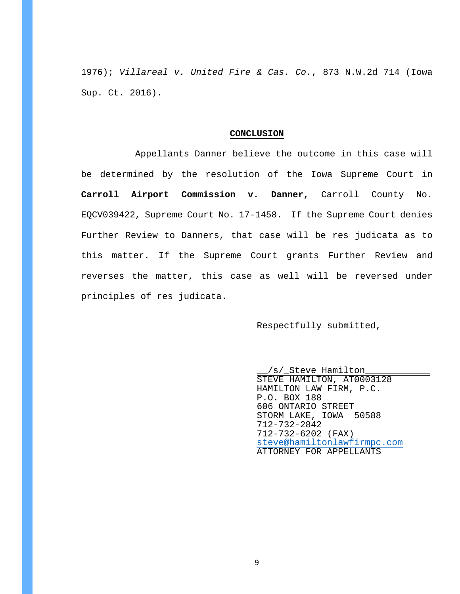1976); *Villareal v. United Fire & Cas. Co.*, 873 N.W.2d 714 (Iowa Sup. Ct. 2016).

#### **CONCLUSION**

Appellants Danner believe the outcome in this case will be determined by the resolution of the Iowa Supreme Court in **Carroll Airport Commission v. Danner,** Carroll County No. EQCV039422, Supreme Court No. 17-1458. If the Supreme Court denies Further Review to Danners, that case will be res judicata as to this matter. If the Supreme Court grants Further Review and reverses the matter, this case as well will be reversed under principles of res judicata.

Respectfully submitted,

\_\_/s/\_Steve Hamilton\_\_\_\_\_\_\_\_\_\_\_\_ STEVE HAMILTON, AT0003128 HAMILTON LAW FIRM, P.C. P.O. BOX 188 606 ONTARIO STREET STORM LAKE, IOWA 50588 712-732-2842 712-732-6202 (FAX) [steve@hamiltonlawfirmpc.com](mailto:steve@hamiltonlawfirmpc.com) ATTORNEY FOR APPELLANTS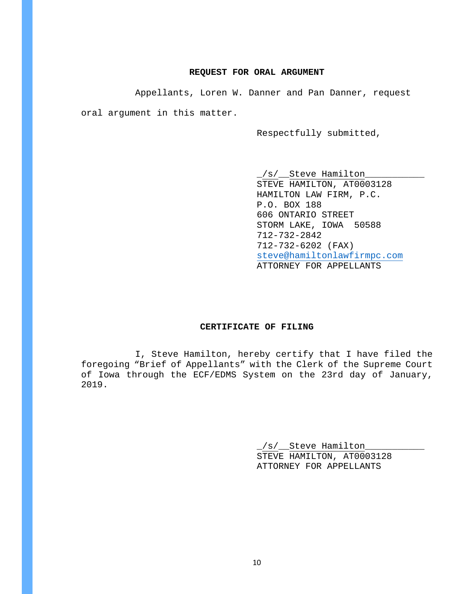## **REQUEST FOR ORAL ARGUMENT**

Appellants, Loren W. Danner and Pan Danner, request

oral argument in this matter.

Respectfully submitted,

 $\verb|__/s/__Steve$  Hamilton $\_$ STEVE HAMILTON, AT0003128 HAMILTON LAW FIRM, P.C. P.O. BOX 188 606 ONTARIO STREET STORM LAKE, IOWA 50588 712-732-2842 712-732-6202 (FAX) [steve@hamiltonlawfirmpc.com](mailto:steve@hamiltonlawfirmpc.com) ATTORNEY FOR APPELLANTS

## **CERTIFICATE OF FILING**

I, Steve Hamilton, hereby certify that I have filed the foregoing "Brief of Appellants" with the Clerk of the Supreme Court of Iowa through the ECF/EDMS System on the 23rd day of January, 2019.

> \_/s/\_\_Steve Hamilton\_\_\_\_\_\_\_\_\_\_\_ STEVE HAMILTON, AT0003128 ATTORNEY FOR APPELLANTS